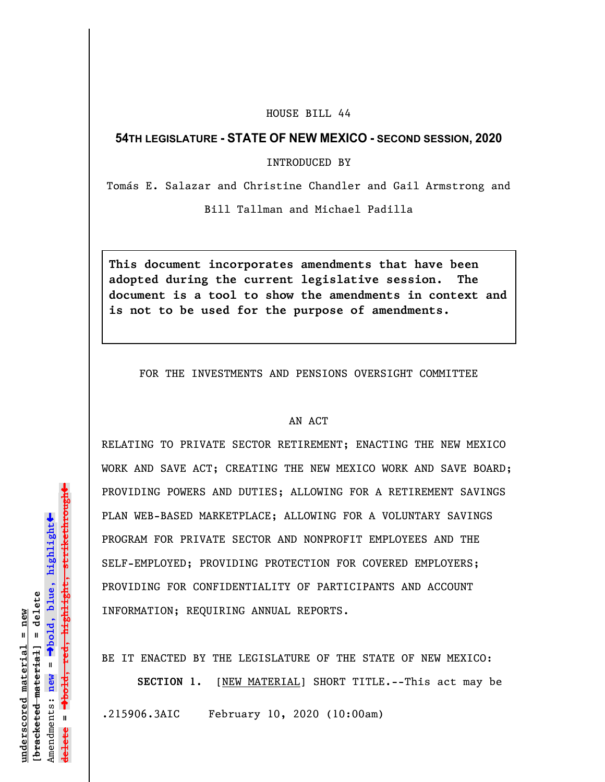## HOUSE BILL 44

## **54TH LEGISLATURE - STATE OF NEW MEXICO - SECOND SESSION, 2020**

INTRODUCED BY

Tomás E. Salazar and Christine Chandler and Gail Armstrong and

Bill Tallman and Michael Padilla

**This document incorporates amendments that have been adopted during the current legislative session. The document is a tool to show the amendments in context and is not to be used for the purpose of amendments.** 

FOR THE INVESTMENTS AND PENSIONS OVERSIGHT COMMITTEE

## AN ACT

RELATING TO PRIVATE SECTOR RETIREMENT; ENACTING THE NEW MEXICO WORK AND SAVE ACT; CREATING THE NEW MEXICO WORK AND SAVE BOARD; PROVIDING POWERS AND DUTIES; ALLOWING FOR A RETIREMENT SAVINGS PLAN WEB-BASED MARKETPLACE; ALLOWING FOR A VOLUNTARY SAVINGS PROGRAM FOR PRIVATE SECTOR AND NONPROFIT EMPLOYEES AND THE SELF-EMPLOYED; PROVIDING PROTECTION FOR COVERED EMPLOYERS; PROVIDING FOR CONFIDENTIALITY OF PARTICIPANTS AND ACCOUNT INFORMATION; REQUIRING ANNUAL REPORTS.

BE IT ENACTED BY THE LEGISLATURE OF THE STATE OF NEW MEXICO:

**SECTION 1.** [NEW MATERIAL] SHORT TITLE.--This act may be .215906.3AIC February 10, 2020 (10:00am)

»º**bold, red, highlight, strikethrough**  $\ddot{\bullet}$ º**bold, blue, highlight**  $b$ racketed material] = delete **[bracketed material] = delete** inderscored material = new **underscored material = new** Amendments: **new** =  $\mathbf{u}$ **delete =** lelete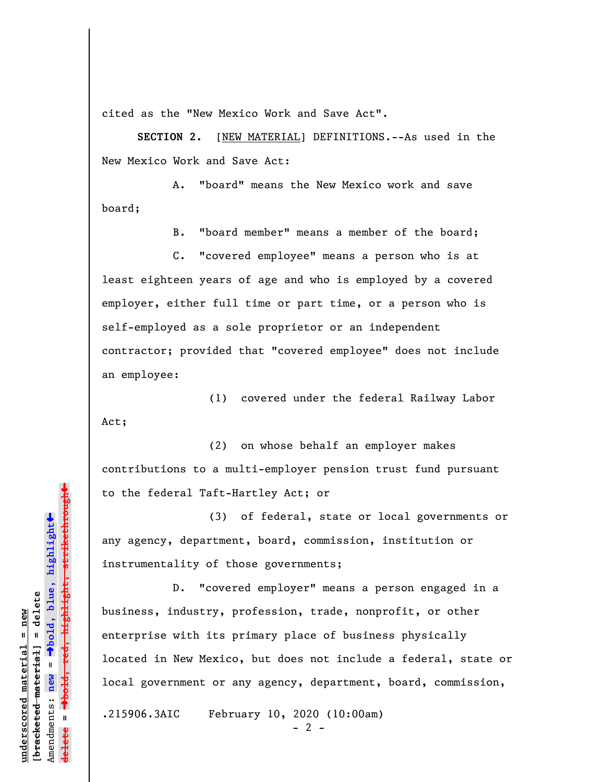cited as the "New Mexico Work and Save Act".

**SECTION 2.** [NEW MATERIAL] DEFINITIONS.--As used in the New Mexico Work and Save Act:

A. "board" means the New Mexico work and save board;

B. "board member" means a member of the board;

C. "covered employee" means a person who is at least eighteen years of age and who is employed by a covered employer, either full time or part time, or a person who is self-employed as a sole proprietor or an independent contractor; provided that "covered employee" does not include an employee:

(1) covered under the federal Railway Labor Act;

(2) on whose behalf an employer makes contributions to a multi-employer pension trust fund pursuant to the federal Taft-Hartley Act; or

(3) of federal, state or local governments or any agency, department, board, commission, institution or instrumentality of those governments;

D. "covered employer" means a person engaged in a business, industry, profession, trade, nonprofit, or other enterprise with its primary place of business physically located in New Mexico, but does not include a federal, state or local government or any agency, department, board, commission,

.215906.3AIC February 10, 2020 (10:00am)

 $- 2 -$ 

 $\ddag$ º**bold, red, highlight, strikethrough**  $\ddot{\bullet}$ º**bold, blue, highlight** bracketed material] = delete **[bracketed material] = delete** inderscored material = new **underscored material = new**  $\mathbf{I}$ Amendments: **new** = Amendments: new **delete =**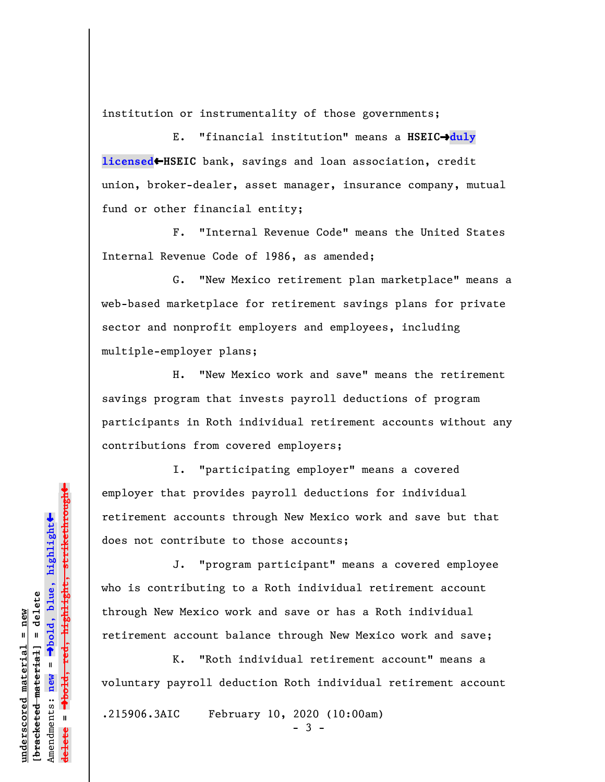institution or instrumentality of those governments;

E. "financial institution" means a **HSEIC**º**duly licensed←HSEIC** bank, savings and loan association, credit union, broker-dealer, asset manager, insurance company, mutual fund or other financial entity;

F. "Internal Revenue Code" means the United States Internal Revenue Code of 1986, as amended;

G. "New Mexico retirement plan marketplace" means a web-based marketplace for retirement savings plans for private sector and nonprofit employers and employees, including multiple-employer plans;

H. "New Mexico work and save" means the retirement savings program that invests payroll deductions of program participants in Roth individual retirement accounts without any contributions from covered employers;

I. "participating employer" means a covered employer that provides payroll deductions for individual retirement accounts through New Mexico work and save but that does not contribute to those accounts;

J. "program participant" means a covered employee who is contributing to a Roth individual retirement account through New Mexico work and save or has a Roth individual retirement account balance through New Mexico work and save;

K. "Roth individual retirement account" means a voluntary payroll deduction Roth individual retirement account

.215906.3AIC February 10, 2020 (10:00am)

- 3 -

 $\ddag$ º**bold, red, highlight, strikethrough**  $\ddot{\bullet}$ º**bold, blue, highlight** bracketed material] = delete **[bracketed material] = delete** inderscored material = new **underscored material = new** Amendments: **new** = Amendments: new = **delete =**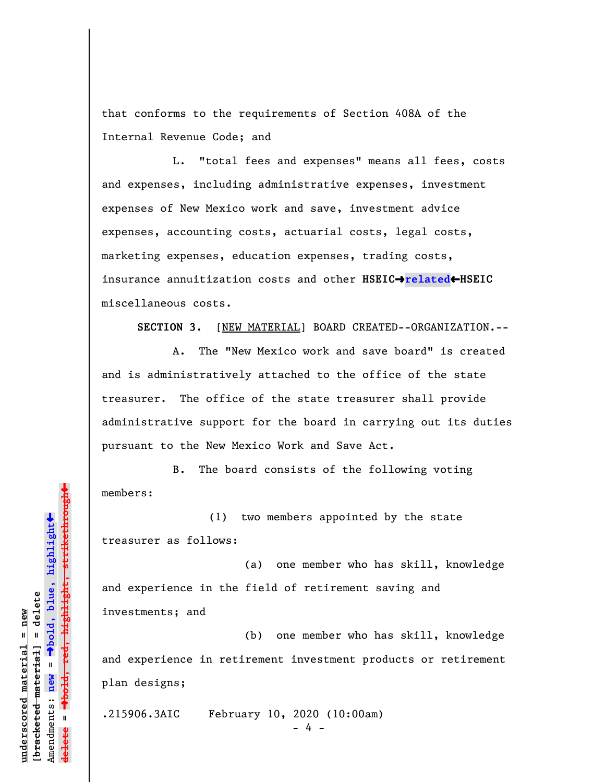that conforms to the requirements of Section 408A of the Internal Revenue Code; and

L. "total fees and expenses" means all fees, costs and expenses, including administrative expenses, investment expenses of New Mexico work and save, investment advice expenses, accounting costs, actuarial costs, legal costs, marketing expenses, education expenses, trading costs, insurance annuitization costs and other **HSEIC**º**related**»**HSEIC** miscellaneous costs.

**SECTION 3.** [NEW MATERIAL] BOARD CREATED--ORGANIZATION.--

A. The "New Mexico work and save board" is created and is administratively attached to the office of the state treasurer. The office of the state treasurer shall provide administrative support for the board in carrying out its duties pursuant to the New Mexico Work and Save Act.

B. The board consists of the following voting members:

(1) two members appointed by the state treasurer as follows:

(a) one member who has skill, knowledge and experience in the field of retirement saving and investments; and

(b) one member who has skill, knowledge and experience in retirement investment products or retirement plan designs;

.215906.3AIC February 10, 2020 (10:00am)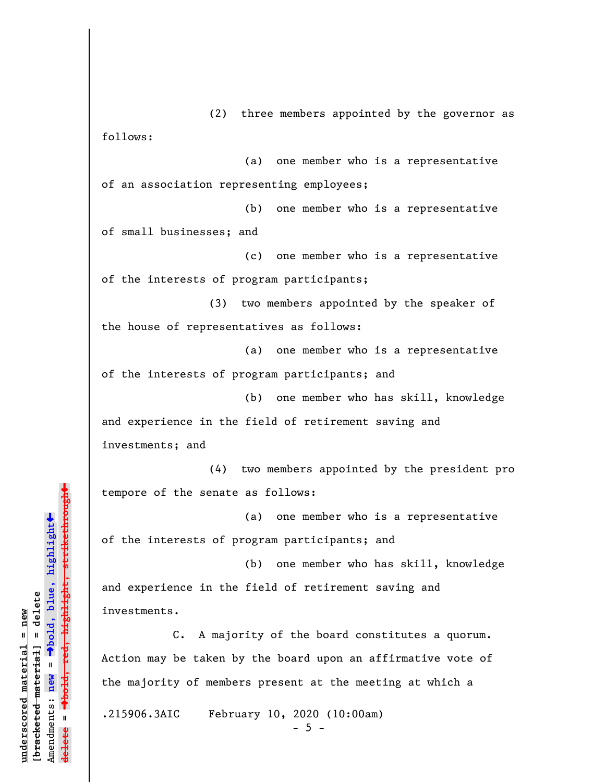(2) three members appointed by the governor as follows:

(a) one member who is a representative of an association representing employees;

(b) one member who is a representative of small businesses; and

(c) one member who is a representative of the interests of program participants;

(3) two members appointed by the speaker of the house of representatives as follows:

(a) one member who is a representative of the interests of program participants; and

(b) one member who has skill, knowledge and experience in the field of retirement saving and investments; and

(4) two members appointed by the president pro tempore of the senate as follows:

(a) one member who is a representative of the interests of program participants; and

(b) one member who has skill, knowledge and experience in the field of retirement saving and investments.

C. A majority of the board constitutes a quorum. Action may be taken by the board upon an affirmative vote of the majority of members present at the meeting at which a

.215906.3AIC February 10, 2020 (10:00am)

 $-5 -$ 

»º**bold, red, highlight, strikethrough**  $\ddot{\bullet}$ º**bold, blue, highlight** bracketed material] = delete **[bracketed material] = delete** inderscored material = new **underscored material = new** Amendments: **new** =  $\mathbf{u}$ Amendments: new **delete =**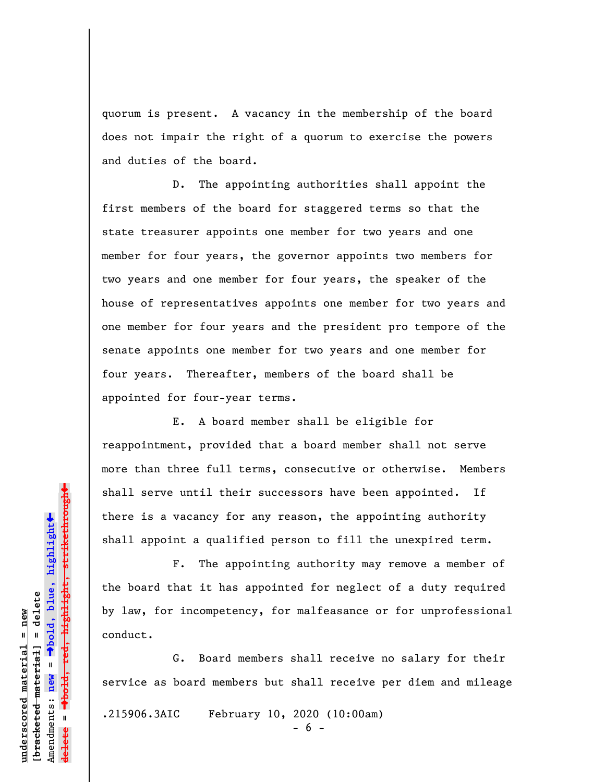quorum is present. A vacancy in the membership of the board does not impair the right of a quorum to exercise the powers and duties of the board.

D. The appointing authorities shall appoint the first members of the board for staggered terms so that the state treasurer appoints one member for two years and one member for four years, the governor appoints two members for two years and one member for four years, the speaker of the house of representatives appoints one member for two years and one member for four years and the president pro tempore of the senate appoints one member for two years and one member for four years. Thereafter, members of the board shall be appointed for four-year terms.

E. A board member shall be eligible for reappointment, provided that a board member shall not serve more than three full terms, consecutive or otherwise. Members shall serve until their successors have been appointed. If there is a vacancy for any reason, the appointing authority shall appoint a qualified person to fill the unexpired term.

F. The appointing authority may remove a member of the board that it has appointed for neglect of a duty required by law, for incompetency, for malfeasance or for unprofessional conduct.

G. Board members shall receive no salary for their service as board members but shall receive per diem and mileage .215906.3AIC February 10, 2020 (10:00am) - 6 -

º**bold, red, highlight, strikethrough**  $\ddot{\bullet}$ º**bold, blue, highlight** bracketed material] = delete **[bracketed material] = delete** inderscored material = new **underscored material = new** Amendments: **new** =  $\mathbf{u}$ Amendments: new **delete =**

 $\ddag$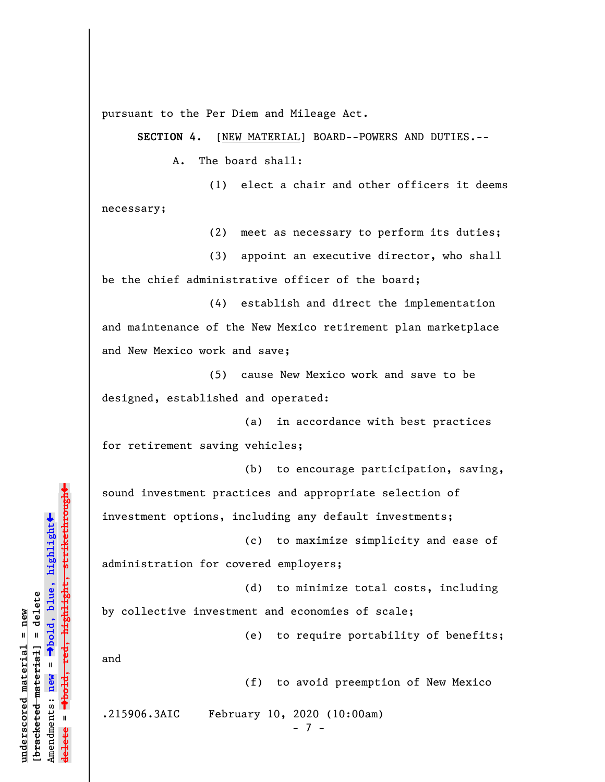pursuant to the Per Diem and Mileage Act.

**SECTION 4.** [NEW MATERIAL] BOARD--POWERS AND DUTIES.--

A. The board shall:

(1) elect a chair and other officers it deems necessary;

(2) meet as necessary to perform its duties;

(3) appoint an executive director, who shall be the chief administrative officer of the board;

(4) establish and direct the implementation and maintenance of the New Mexico retirement plan marketplace and New Mexico work and save;

(5) cause New Mexico work and save to be designed, established and operated:

(a) in accordance with best practices for retirement saving vehicles;

(b) to encourage participation, saving, sound investment practices and appropriate selection of investment options, including any default investments;

(c) to maximize simplicity and ease of administration for covered employers;

(d) to minimize total costs, including

by collective investment and economies of scale;

(e) to require portability of benefits;

and

(f) to avoid preemption of New Mexico

.215906.3AIC February 10, 2020 (10:00am)

- 7 -

º**bold, red, highlight, strikethrough** highlight, strikethrough  $\ddot{\bullet}$ º**bold, blue, highlight** bracketed material] = delete **[bracketed material] = delete** inderscored material = new **underscored material = new**  $\mathbf{I}$ Amendments: **new** = Amendments: new **delete =**

»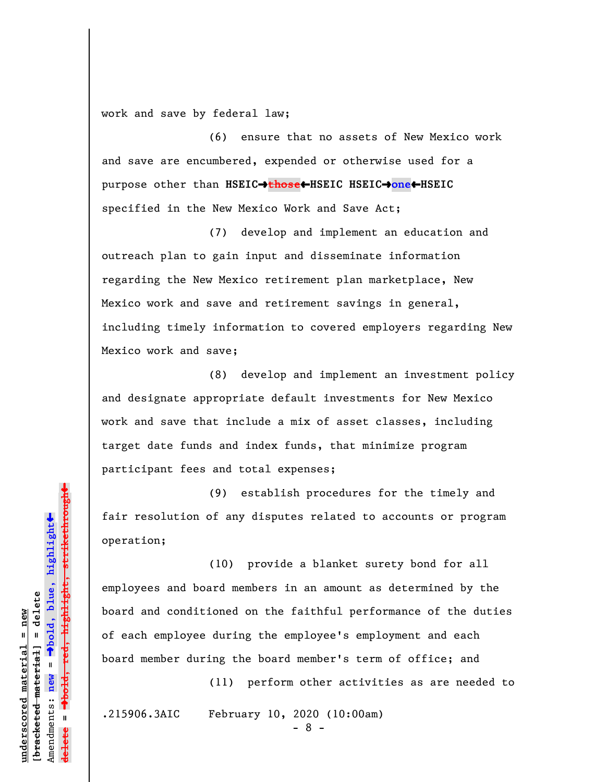work and save by federal law;

(6) ensure that no assets of New Mexico work and save are encumbered, expended or otherwise used for a purpose other than **HSEIC**º**those**»**HSEIC HSEIC**º**one**»**HSEIC** specified in the New Mexico Work and Save Act;

(7) develop and implement an education and outreach plan to gain input and disseminate information regarding the New Mexico retirement plan marketplace, New Mexico work and save and retirement savings in general, including timely information to covered employers regarding New Mexico work and save;

(8) develop and implement an investment policy and designate appropriate default investments for New Mexico work and save that include a mix of asset classes, including target date funds and index funds, that minimize program participant fees and total expenses;

(9) establish procedures for the timely and fair resolution of any disputes related to accounts or program operation;

(10) provide a blanket surety bond for all employees and board members in an amount as determined by the board and conditioned on the faithful performance of the duties of each employee during the employee's employment and each board member during the board member's term of office; and

(11) perform other activities as are needed to

.215906.3AIC February 10, 2020 (10:00am)

- 8 -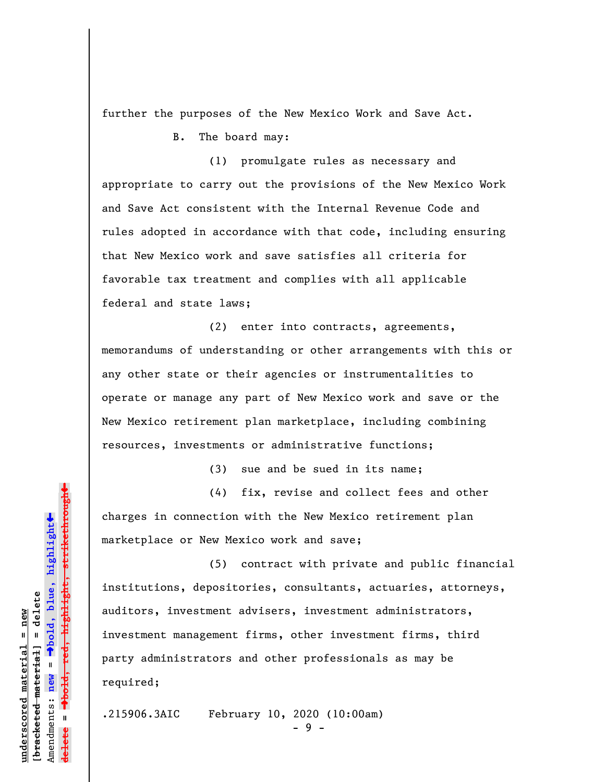further the purposes of the New Mexico Work and Save Act.

B. The board may:

(1) promulgate rules as necessary and appropriate to carry out the provisions of the New Mexico Work and Save Act consistent with the Internal Revenue Code and rules adopted in accordance with that code, including ensuring that New Mexico work and save satisfies all criteria for favorable tax treatment and complies with all applicable federal and state laws;

(2) enter into contracts, agreements, memorandums of understanding or other arrangements with this or any other state or their agencies or instrumentalities to operate or manage any part of New Mexico work and save or the New Mexico retirement plan marketplace, including combining resources, investments or administrative functions;

(3) sue and be sued in its name;

(4) fix, revise and collect fees and other charges in connection with the New Mexico retirement plan marketplace or New Mexico work and save;

(5) contract with private and public financial institutions, depositories, consultants, actuaries, attorneys, auditors, investment advisers, investment administrators, investment management firms, other investment firms, third party administrators and other professionals as may be required;

.215906.3AIC February 10, 2020 (10:00am)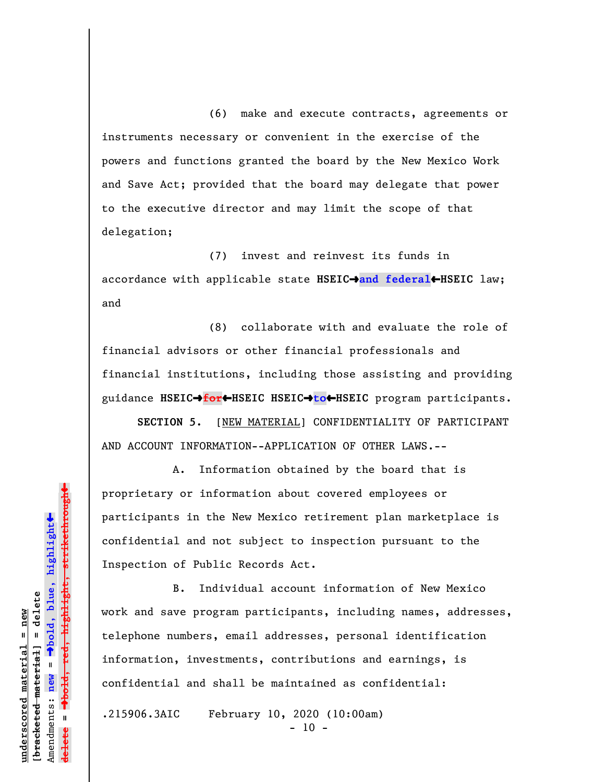(6) make and execute contracts, agreements or instruments necessary or convenient in the exercise of the powers and functions granted the board by the New Mexico Work and Save Act; provided that the board may delegate that power to the executive director and may limit the scope of that delegation;

(7) invest and reinvest its funds in accordance with applicable state HSEIC→and federal←HSEIC law; and

(8) collaborate with and evaluate the role of financial advisors or other financial professionals and financial institutions, including those assisting and providing guidance **HSEIC**º**for**»**HSEIC HSEIC**º**to**»**HSEIC** program participants.

**SECTION 5.** [NEW MATERIAL] CONFIDENTIALITY OF PARTICIPANT AND ACCOUNT INFORMATION--APPLICATION OF OTHER LAWS.--

A. Information obtained by the board that is proprietary or information about covered employees or participants in the New Mexico retirement plan marketplace is confidential and not subject to inspection pursuant to the Inspection of Public Records Act.

B. Individual account information of New Mexico work and save program participants, including names, addresses, telephone numbers, email addresses, personal identification information, investments, contributions and earnings, is confidential and shall be maintained as confidential:

.215906.3AIC February 10, 2020 (10:00am)

 $-10 -$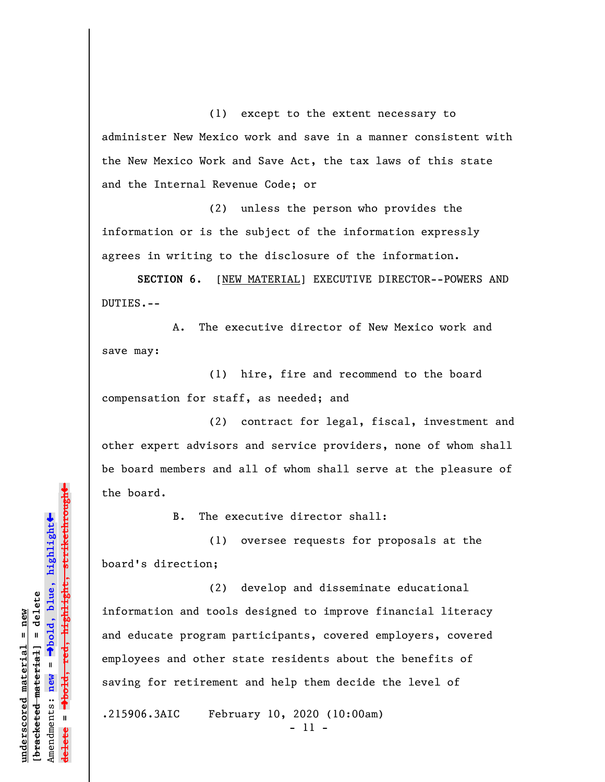(1) except to the extent necessary to administer New Mexico work and save in a manner consistent with the New Mexico Work and Save Act, the tax laws of this state and the Internal Revenue Code; or

(2) unless the person who provides the information or is the subject of the information expressly agrees in writing to the disclosure of the information.

**SECTION 6.** [NEW MATERIAL] EXECUTIVE DIRECTOR--POWERS AND DUTIES.--

A. The executive director of New Mexico work and save may:

(1) hire, fire and recommend to the board compensation for staff, as needed; and

(2) contract for legal, fiscal, investment and other expert advisors and service providers, none of whom shall be board members and all of whom shall serve at the pleasure of the board.

B. The executive director shall:

(1) oversee requests for proposals at the board's direction;

(2) develop and disseminate educational information and tools designed to improve financial literacy and educate program participants, covered employers, covered employees and other state residents about the benefits of saving for retirement and help them decide the level of

.215906.3AIC February 10, 2020 (10:00am)

- 11 -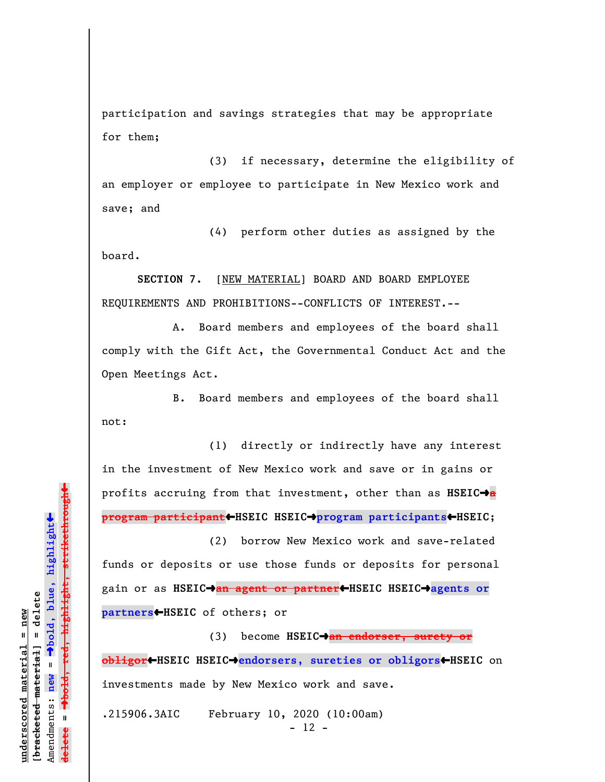participation and savings strategies that may be appropriate for them;

(3) if necessary, determine the eligibility of an employer or employee to participate in New Mexico work and save; and

(4) perform other duties as assigned by the board.

**SECTION 7.** [NEW MATERIAL] BOARD AND BOARD EMPLOYEE REQUIREMENTS AND PROHIBITIONS--CONFLICTS OF INTEREST.--

A. Board members and employees of the board shall comply with the Gift Act, the Governmental Conduct Act and the Open Meetings Act.

B. Board members and employees of the board shall not:

(1) directly or indirectly have any interest in the investment of New Mexico work and save or in gains or profits accruing from that investment, other than as **HSEIC**º**a program participant**»**HSEIC HSEIC**º**program participants**»**HSEIC**;

(2) borrow New Mexico work and save-related funds or deposits or use those funds or deposits for personal gain or as **HSEIC**º**an agent or partner**»**HSEIC HSEIC**º**agents or partners**»**HSEIC** of others; or

(3) become **HSEIC**º**an endorser, surety or obligor**»**HSEIC HSEIC**º**endorsers, sureties or obligors**»**HSEIC** on investments made by New Mexico work and save.

.215906.3AIC February 10, 2020 (10:00am) - 12 -

 $\ddag$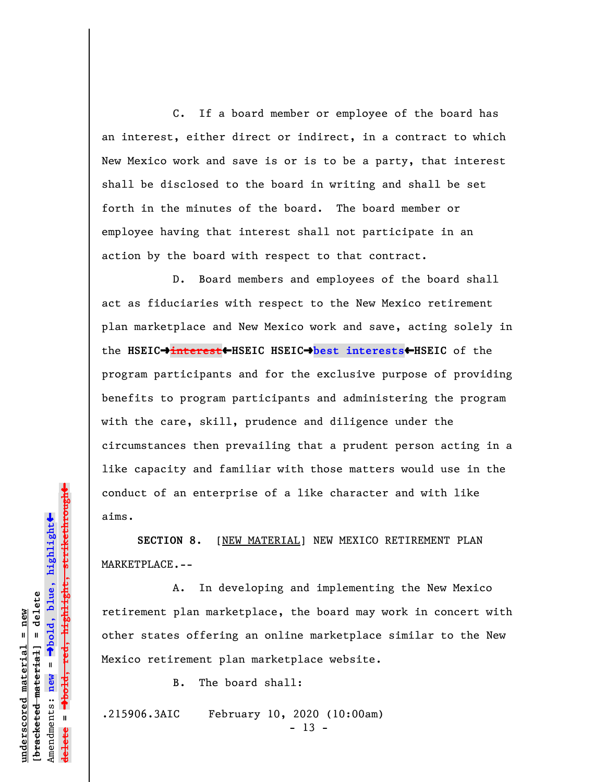C. If a board member or employee of the board has an interest, either direct or indirect, in a contract to which New Mexico work and save is or is to be a party, that interest shall be disclosed to the board in writing and shall be set forth in the minutes of the board. The board member or employee having that interest shall not participate in an action by the board with respect to that contract.

D. Board members and employees of the board shall act as fiduciaries with respect to the New Mexico retirement plan marketplace and New Mexico work and save, acting solely in the **HSEIC**º**interest**»**HSEIC HSEIC**º**best interests**»**HSEIC** of the program participants and for the exclusive purpose of providing benefits to program participants and administering the program with the care, skill, prudence and diligence under the circumstances then prevailing that a prudent person acting in a like capacity and familiar with those matters would use in the conduct of an enterprise of a like character and with like aims.

**SECTION 8.** [NEW MATERIAL] NEW MEXICO RETIREMENT PLAN MARKETPLACE.--

A. In developing and implementing the New Mexico retirement plan marketplace, the board may work in concert with other states offering an online marketplace similar to the New Mexico retirement plan marketplace website.

B. The board shall:

.215906.3AIC February 10, 2020 (10:00am)

- 13 -

 $\ddag$ º**bold, red, highlight, strikethrough**  $\ddot{\bullet}$ º**bold, blue, highlight** bracketed material] = delete **[bracketed material] = delete** inderscored material = new **underscored material = new** Amendments: **new** =  $\bar{\mathbf{u}}$ Amendments: new **delete =**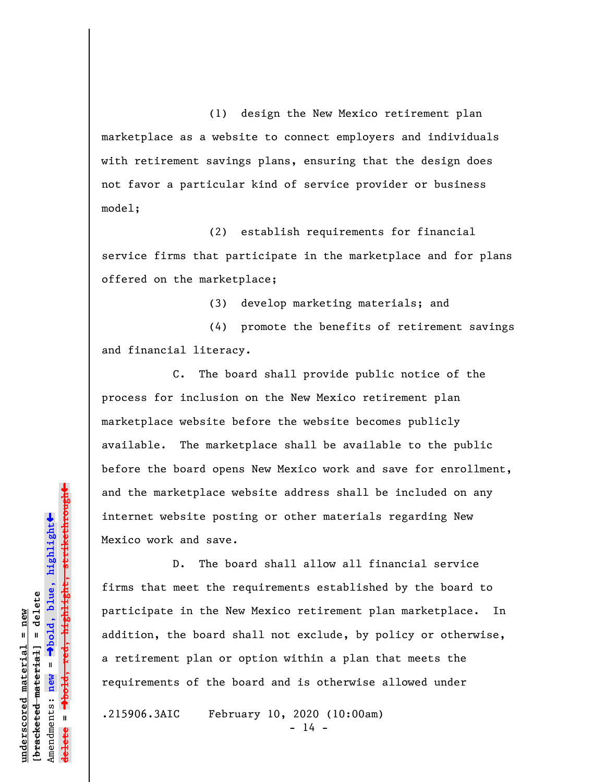(1) design the New Mexico retirement plan marketplace as a website to connect employers and individuals with retirement savings plans, ensuring that the design does not favor a particular kind of service provider or business model;

(2) establish requirements for financial service firms that participate in the marketplace and for plans offered on the marketplace;

(3) develop marketing materials; and

(4) promote the benefits of retirement savings and financial literacy.

C. The board shall provide public notice of the process for inclusion on the New Mexico retirement plan marketplace website before the website becomes publicly available. The marketplace shall be available to the public before the board opens New Mexico work and save for enrollment, and the marketplace website address shall be included on any internet website posting or other materials regarding New Mexico work and save.

D. The board shall allow all financial service firms that meet the requirements established by the board to participate in the New Mexico retirement plan marketplace. In addition, the board shall not exclude, by policy or otherwise, a retirement plan or option within a plan that meets the requirements of the board and is otherwise allowed under

.215906.3AIC February 10, 2020 (10:00am)

 $- 14 -$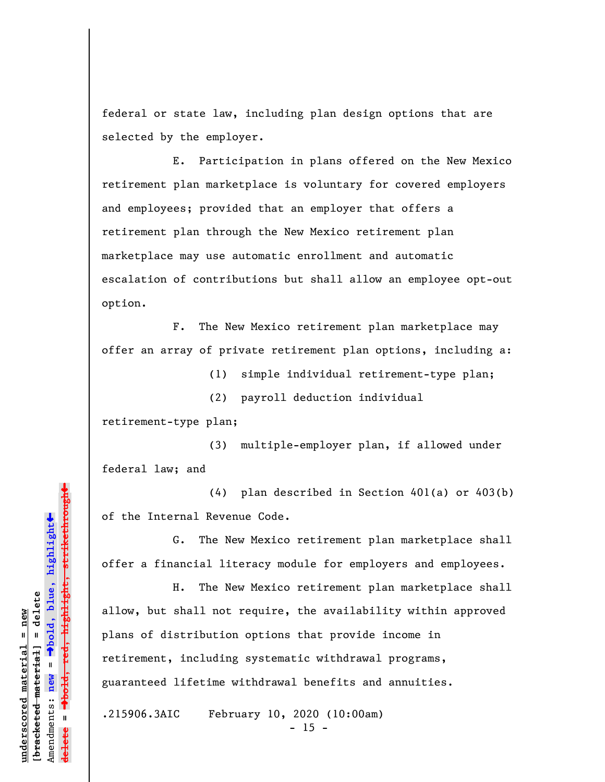federal or state law, including plan design options that are selected by the employer.

E. Participation in plans offered on the New Mexico retirement plan marketplace is voluntary for covered employers and employees; provided that an employer that offers a retirement plan through the New Mexico retirement plan marketplace may use automatic enrollment and automatic escalation of contributions but shall allow an employee opt-out option.

F. The New Mexico retirement plan marketplace may offer an array of private retirement plan options, including a:

(1) simple individual retirement-type plan;

(2) payroll deduction individual

retirement-type plan;

(3) multiple-employer plan, if allowed under federal law; and

(4) plan described in Section 401(a) or 403(b) of the Internal Revenue Code.

G. The New Mexico retirement plan marketplace shall offer a financial literacy module for employers and employees.

H. The New Mexico retirement plan marketplace shall allow, but shall not require, the availability within approved plans of distribution options that provide income in retirement, including systematic withdrawal programs, guaranteed lifetime withdrawal benefits and annuities.

.215906.3AIC February 10, 2020 (10:00am)

 $- 15 -$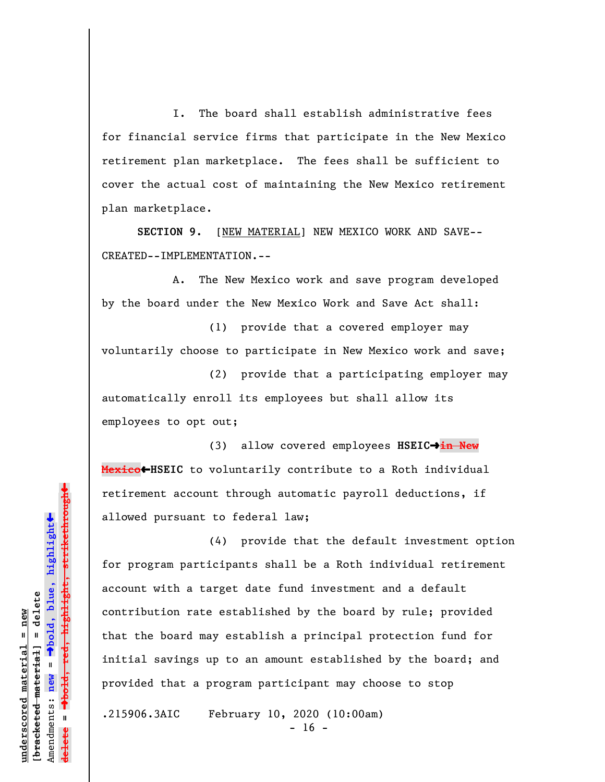I. The board shall establish administrative fees for financial service firms that participate in the New Mexico retirement plan marketplace. The fees shall be sufficient to cover the actual cost of maintaining the New Mexico retirement plan marketplace.

**SECTION 9.** [NEW MATERIAL] NEW MEXICO WORK AND SAVE-- CREATED--IMPLEMENTATION.--

A. The New Mexico work and save program developed by the board under the New Mexico Work and Save Act shall:

(1) provide that a covered employer may voluntarily choose to participate in New Mexico work and save;

(2) provide that a participating employer may automatically enroll its employees but shall allow its employees to opt out;

(3) allow covered employees HSEIC→in New **Mexico**»**HSEIC** to voluntarily contribute to a Roth individual retirement account through automatic payroll deductions, if allowed pursuant to federal law;

(4) provide that the default investment option for program participants shall be a Roth individual retirement account with a target date fund investment and a default contribution rate established by the board by rule; provided that the board may establish a principal protection fund for initial savings up to an amount established by the board; and provided that a program participant may choose to stop

.215906.3AIC February 10, 2020 (10:00am)

 $- 16 -$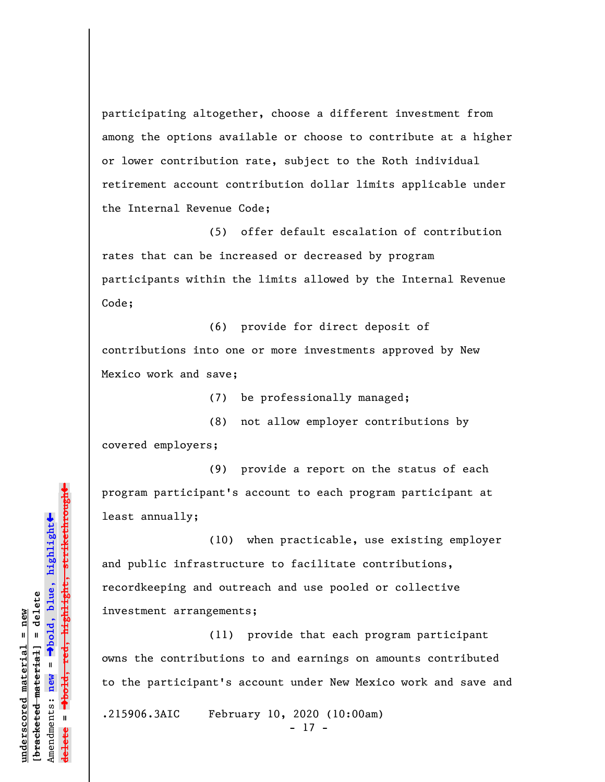participating altogether, choose a different investment from among the options available or choose to contribute at a higher or lower contribution rate, subject to the Roth individual retirement account contribution dollar limits applicable under the Internal Revenue Code;

(5) offer default escalation of contribution rates that can be increased or decreased by program participants within the limits allowed by the Internal Revenue Code;

(6) provide for direct deposit of contributions into one or more investments approved by New Mexico work and save;

(7) be professionally managed;

(8) not allow employer contributions by covered employers;

(9) provide a report on the status of each program participant's account to each program participant at least annually;

(10) when practicable, use existing employer and public infrastructure to facilitate contributions, recordkeeping and outreach and use pooled or collective investment arrangements;

(11) provide that each program participant owns the contributions to and earnings on amounts contributed to the participant's account under New Mexico work and save and .215906.3AIC February 10, 2020 (10:00am)

- 17 -

º**bold, red, highlight, strikethrough** highlight, strikethrough  $\ddot{\bullet}$ º**bold, blue, highlight** bracketed material] = delete **[bracketed material] = delete** inderscored material = new **underscored material = new** Amendments: **new** =  $\bar{\mathbf{u}}$ Amendments: new **delete =**

»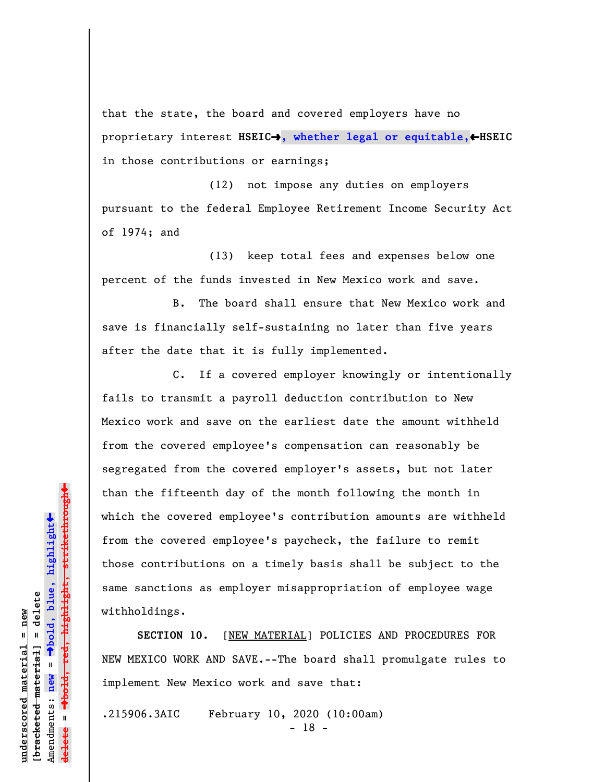that the state, the board and covered employers have no proprietary interest **HSEIC**º**, whether legal or equitable,**»**HSEIC** in those contributions or earnings;

(12) not impose any duties on employers pursuant to the federal Employee Retirement Income Security Act of 1974; and

(13) keep total fees and expenses below one percent of the funds invested in New Mexico work and save.

B. The board shall ensure that New Mexico work and save is financially self-sustaining no later than five years after the date that it is fully implemented.

C. If a covered employer knowingly or intentionally fails to transmit a payroll deduction contribution to New Mexico work and save on the earliest date the amount withheld from the covered employee's compensation can reasonably be segregated from the covered employer's assets, but not later than the fifteenth day of the month following the month in which the covered employee's contribution amounts are withheld from the covered employee's paycheck, the failure to remit those contributions on a timely basis shall be subject to the same sanctions as employer misappropriation of employee wage withholdings.

**SECTION 10.** [NEW MATERIAL] POLICIES AND PROCEDURES FOR NEW MEXICO WORK AND SAVE.--The board shall promulgate rules to implement New Mexico work and save that:

.215906.3AIC February 10, 2020 (10:00am)

- 18 -

 $\ddag$ º**bold, red, highlight, strikethrough**  $\ddot{\bullet}$ º**bold, blue, highlight** bracketed material] = delete **[bracketed material] = delete** inderscored material = new **underscored material = new**  $\mathbf{I}$ Amendments: **new** = Amendments: new **delete =**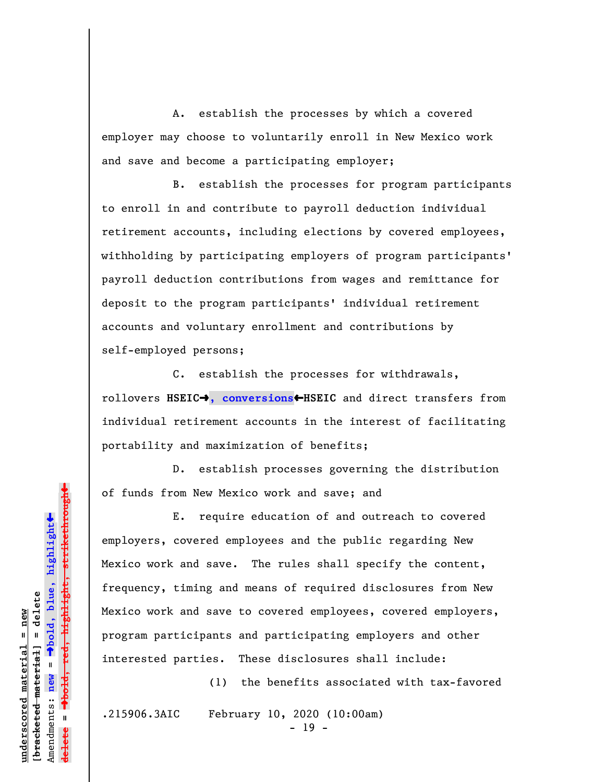A. establish the processes by which a covered employer may choose to voluntarily enroll in New Mexico work and save and become a participating employer;

B. establish the processes for program participants to enroll in and contribute to payroll deduction individual retirement accounts, including elections by covered employees, withholding by participating employers of program participants' payroll deduction contributions from wages and remittance for deposit to the program participants' individual retirement accounts and voluntary enrollment and contributions by self-employed persons;

C. establish the processes for withdrawals, rollovers **HSEIC**º**, conversions**»**HSEIC** and direct transfers from individual retirement accounts in the interest of facilitating portability and maximization of benefits;

D. establish processes governing the distribution of funds from New Mexico work and save; and

E. require education of and outreach to covered employers, covered employees and the public regarding New Mexico work and save. The rules shall specify the content, frequency, timing and means of required disclosures from New Mexico work and save to covered employees, covered employers, program participants and participating employers and other interested parties. These disclosures shall include:

(1) the benefits associated with tax-favored

.215906.3AIC February 10, 2020 (10:00am)

- 19 -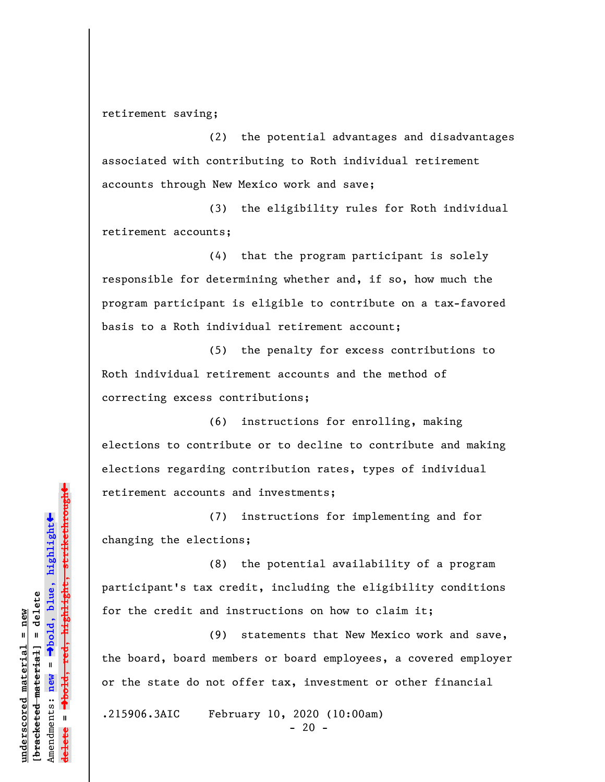retirement saving;

(2) the potential advantages and disadvantages associated with contributing to Roth individual retirement accounts through New Mexico work and save;

(3) the eligibility rules for Roth individual retirement accounts;

(4) that the program participant is solely responsible for determining whether and, if so, how much the program participant is eligible to contribute on a tax-favored basis to a Roth individual retirement account;

(5) the penalty for excess contributions to Roth individual retirement accounts and the method of correcting excess contributions;

(6) instructions for enrolling, making elections to contribute or to decline to contribute and making elections regarding contribution rates, types of individual retirement accounts and investments;

(7) instructions for implementing and for changing the elections;

(8) the potential availability of a program participant's tax credit, including the eligibility conditions for the credit and instructions on how to claim it;

(9) statements that New Mexico work and save, the board, board members or board employees, a covered employer or the state do not offer tax, investment or other financial

.215906.3AIC February 10, 2020 (10:00am)

 $- 20 -$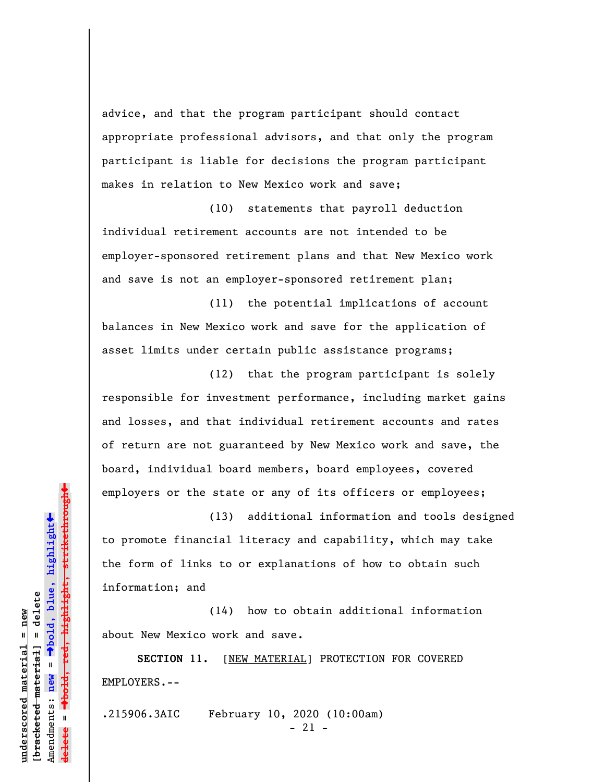advice, and that the program participant should contact appropriate professional advisors, and that only the program participant is liable for decisions the program participant makes in relation to New Mexico work and save;

(10) statements that payroll deduction individual retirement accounts are not intended to be employer-sponsored retirement plans and that New Mexico work and save is not an employer-sponsored retirement plan;

(11) the potential implications of account balances in New Mexico work and save for the application of asset limits under certain public assistance programs;

(12) that the program participant is solely responsible for investment performance, including market gains and losses, and that individual retirement accounts and rates of return are not guaranteed by New Mexico work and save, the board, individual board members, board employees, covered employers or the state or any of its officers or employees;

(13) additional information and tools designed to promote financial literacy and capability, which may take the form of links to or explanations of how to obtain such information; and

(14) how to obtain additional information about New Mexico work and save.

**SECTION 11.** [NEW MATERIAL] PROTECTION FOR COVERED EMPLOYERS.--

.215906.3AIC February 10, 2020 (10:00am)

- 21 -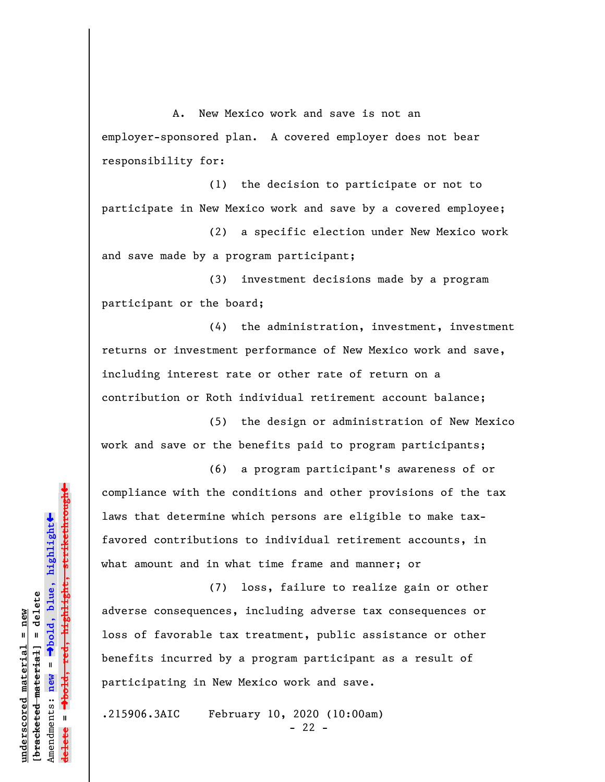A. New Mexico work and save is not an employer-sponsored plan. A covered employer does not bear responsibility for:

(1) the decision to participate or not to participate in New Mexico work and save by a covered employee;

(2) a specific election under New Mexico work and save made by a program participant;

(3) investment decisions made by a program participant or the board;

(4) the administration, investment, investment returns or investment performance of New Mexico work and save, including interest rate or other rate of return on a contribution or Roth individual retirement account balance;

(5) the design or administration of New Mexico work and save or the benefits paid to program participants;

(6) a program participant's awareness of or compliance with the conditions and other provisions of the tax laws that determine which persons are eligible to make taxfavored contributions to individual retirement accounts, in what amount and in what time frame and manner; or

(7) loss, failure to realize gain or other adverse consequences, including adverse tax consequences or loss of favorable tax treatment, public assistance or other benefits incurred by a program participant as a result of participating in New Mexico work and save.

.215906.3AIC February 10, 2020 (10:00am)

 $- 22 -$